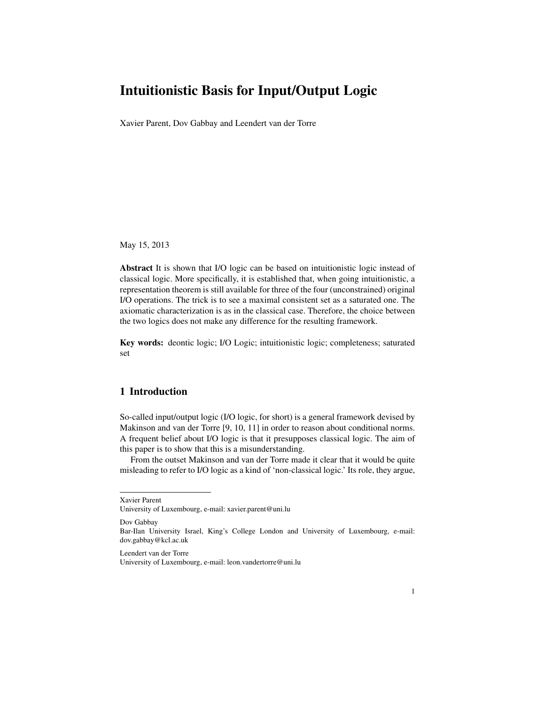Xavier Parent, Dov Gabbay and Leendert van der Torre

May 15, 2013

Abstract It is shown that I/O logic can be based on intuitionistic logic instead of classical logic. More specifically, it is established that, when going intuitionistic, a representation theorem is still available for three of the four (unconstrained) original I/O operations. The trick is to see a maximal consistent set as a saturated one. The axiomatic characterization is as in the classical case. Therefore, the choice between the two logics does not make any difference for the resulting framework.

Key words: deontic logic; I/O Logic; intuitionistic logic; completeness; saturated set

## 1 Introduction

So-called input/output logic (I/O logic, for short) is a general framework devised by Makinson and van der Torre [9, 10, 11] in order to reason about conditional norms. A frequent belief about I/O logic is that it presupposes classical logic. The aim of this paper is to show that this is a misunderstanding.

From the outset Makinson and van der Torre made it clear that it would be quite misleading to refer to I/O logic as a kind of 'non-classical logic.' Its role, they argue,

Dov Gabbay

Leendert van der Torre

Xavier Parent

University of Luxembourg, e-mail: xavier.parent@uni.lu

Bar-Ilan University Israel, King's College London and University of Luxembourg, e-mail: dov.gabbay@kcl.ac.uk

University of Luxembourg, e-mail: leon.vandertorre@uni.lu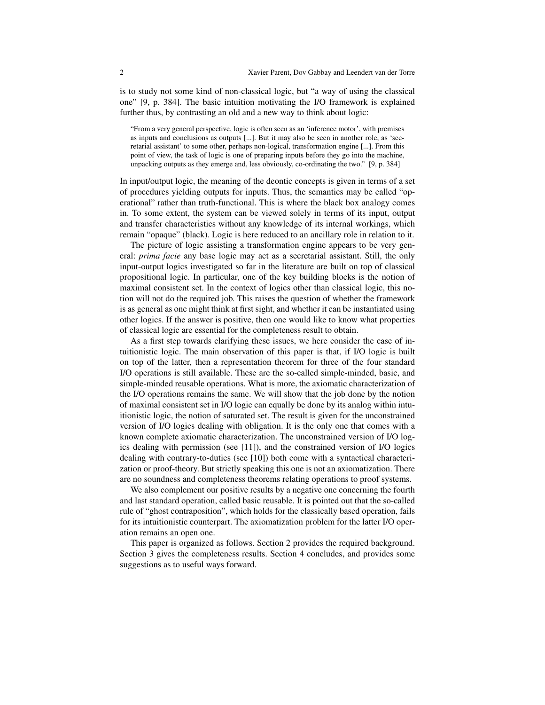is to study not some kind of non-classical logic, but "a way of using the classical one" [9, p. 384]. The basic intuition motivating the I/O framework is explained further thus, by contrasting an old and a new way to think about logic:

"From a very general perspective, logic is often seen as an 'inference motor', with premises as inputs and conclusions as outputs [...]. But it may also be seen in another role, as 'secretarial assistant' to some other, perhaps non-logical, transformation engine [...]. From this point of view, the task of logic is one of preparing inputs before they go into the machine, unpacking outputs as they emerge and, less obviously, co-ordinating the two." [9, p. 384]

In input/output logic, the meaning of the deontic concepts is given in terms of a set of procedures yielding outputs for inputs. Thus, the semantics may be called "operational" rather than truth-functional. This is where the black box analogy comes in. To some extent, the system can be viewed solely in terms of its input, output and transfer characteristics without any knowledge of its internal workings, which remain "opaque" (black). Logic is here reduced to an ancillary role in relation to it.

The picture of logic assisting a transformation engine appears to be very general: *prima facie* any base logic may act as a secretarial assistant. Still, the only input-output logics investigated so far in the literature are built on top of classical propositional logic. In particular, one of the key building blocks is the notion of maximal consistent set. In the context of logics other than classical logic, this notion will not do the required job. This raises the question of whether the framework is as general as one might think at first sight, and whether it can be instantiated using other logics. If the answer is positive, then one would like to know what properties of classical logic are essential for the completeness result to obtain.

As a first step towards clarifying these issues, we here consider the case of intuitionistic logic. The main observation of this paper is that, if I/O logic is built on top of the latter, then a representation theorem for three of the four standard I/O operations is still available. These are the so-called simple-minded, basic, and simple-minded reusable operations. What is more, the axiomatic characterization of the I/O operations remains the same. We will show that the job done by the notion of maximal consistent set in I/O logic can equally be done by its analog within intuitionistic logic, the notion of saturated set. The result is given for the unconstrained version of I/O logics dealing with obligation. It is the only one that comes with a known complete axiomatic characterization. The unconstrained version of I/O logics dealing with permission (see [11]), and the constrained version of I/O logics dealing with contrary-to-duties (see [10]) both come with a syntactical characterization or proof-theory. But strictly speaking this one is not an axiomatization. There are no soundness and completeness theorems relating operations to proof systems.

We also complement our positive results by a negative one concerning the fourth and last standard operation, called basic reusable. It is pointed out that the so-called rule of "ghost contraposition", which holds for the classically based operation, fails for its intuitionistic counterpart. The axiomatization problem for the latter I/O operation remains an open one.

This paper is organized as follows. Section 2 provides the required background. Section 3 gives the completeness results. Section 4 concludes, and provides some suggestions as to useful ways forward.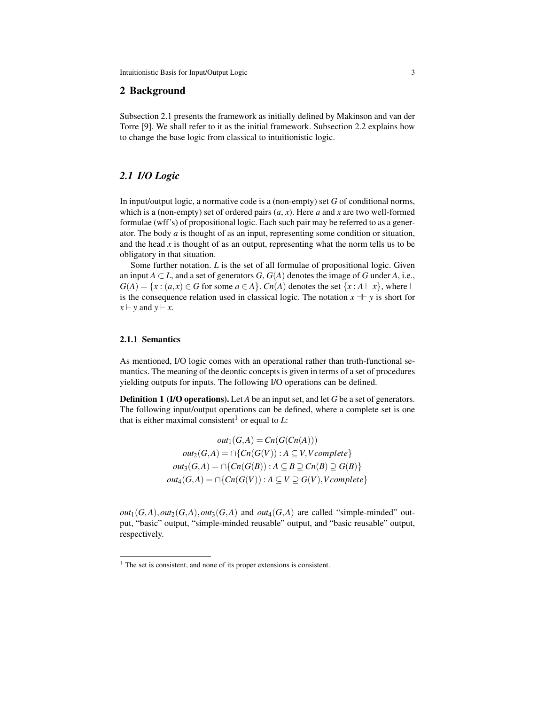## 2 Background

Subsection 2.1 presents the framework as initially defined by Makinson and van der Torre [9]. We shall refer to it as the initial framework. Subsection 2.2 explains how to change the base logic from classical to intuitionistic logic.

## *2.1 I/O Logic*

In input/output logic, a normative code is a (non-empty) set *G* of conditional norms, which is a (non-empty) set of ordered pairs  $(a, x)$ . Here  $a$  and  $x$  are two well-formed formulae (wff's) of propositional logic. Each such pair may be referred to as a generator. The body *a* is thought of as an input, representing some condition or situation, and the head  $x$  is thought of as an output, representing what the norm tells us to be obligatory in that situation.

Some further notation. *L* is the set of all formulae of propositional logic. Given an input *A*  $\subset$  *L*, and a set of generators *G*, *G*(*A*) denotes the image of *G* under *A*, i.e.,  $G(A) = \{x : (a, x) \in G \text{ for some } a \in A\}$ .  $Cn(A)$  denotes the set  $\{x : A \vdash x\}$ , where  $\vdash$ is the consequence relation used in classical logic. The notation  $x + y$  is short for  $x \vdash y$  and  $y \vdash x$ .

## 2.1.1 Semantics

As mentioned, I/O logic comes with an operational rather than truth-functional semantics. The meaning of the deontic concepts is given in terms of a set of procedures yielding outputs for inputs. The following I/O operations can be defined.

Definition 1 (I/O operations). Let *A* be an input set, and let *G* be a set of generators. The following input/output operations can be defined, where a complete set is one that is either maximal consistent<sup>1</sup> or equal to  $L$ :

> $out_1(G,A) = Cn(G(Cn(A)))$  $out_2(G,A) = \bigcap \{Cn(G(V)) : A ⊂ V, Vcomplete\}$  $out_3(G,A) = \bigcap \{Cn(G(B)): A \subseteq B \supseteq Cn(B) \supseteq G(B)\}$  $out_4(G,A) = \bigcap \{Cn(G(V)) : A ⊆ V ⊇ G(V), Vcomplete\}$

 $out_1(G,A), out_2(G,A), out_3(G,A)$  and  $out_4(G,A)$  are called "simple-minded" output, "basic" output, "simple-minded reusable" output, and "basic reusable" output, respectively.

<sup>&</sup>lt;sup>1</sup> The set is consistent, and none of its proper extensions is consistent.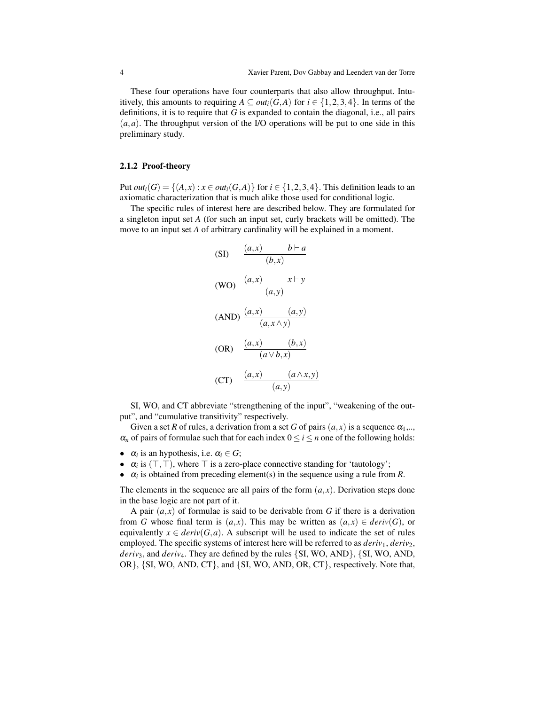These four operations have four counterparts that also allow throughput. Intuitively, this amounts to requiring  $A \subseteq out_i(G,A)$  for  $i \in \{1,2,3,4\}$ . In terms of the definitions, it is to require that *G* is expanded to contain the diagonal, i.e., all pairs  $(a, a)$ . The throughput version of the I/O operations will be put to one side in this preliminary study.

#### 2.1.2 Proof-theory

Put  $out_i(G) = \{(A, x) : x \in out_i(G, A)\}\$  for  $i \in \{1, 2, 3, 4\}$ . This definition leads to an axiomatic characterization that is much alike those used for conditional logic.

The specific rules of interest here are described below. They are formulated for a singleton input set *A* (for such an input set, curly brackets will be omitted). The move to an input set *A* of arbitrary cardinality will be explained in a moment.

(SI) 
$$
\frac{(a,x) \quad b \vdash a}{(b,x)}
$$
  
\n(WO) 
$$
\frac{(a,x) \quad x \vdash y}{(a,y)}
$$
  
\n(AND) 
$$
\frac{(a,x) \quad (a,y)}{(a,x \land y)}
$$
  
\n(OR) 
$$
\frac{(a,x) \quad (b,x)}{(a \lor b,x)}
$$
  
\n(CT) 
$$
\frac{(a,x) \quad (a \land x,y)}{(a,y)}
$$

SI, WO, and CT abbreviate "strengthening of the input", "weakening of the output", and "cumulative transitivity" respectively.

Given a set *R* of rules, a derivation from a set *G* of pairs  $(a, x)$  is a sequence  $\alpha_1, \ldots$  $\alpha_n$  of pairs of formulae such that for each index  $0 \le i \le n$  one of the following holds:

- $\alpha_i$  is an hypothesis, i.e.  $\alpha_i \in G$ ;
- $\alpha_i$  is  $(\top, \top)$ , where  $\top$  is a zero-place connective standing for 'tautology';
- $\alpha_i$  is obtained from preceding element(s) in the sequence using a rule from *R*.

The elements in the sequence are all pairs of the form  $(a, x)$ . Derivation steps done in the base logic are not part of it.

A pair  $(a, x)$  of formulae is said to be derivable from G if there is a derivation from *G* whose final term is  $(a, x)$ . This may be written as  $(a, x) \in deriv(G)$ , or equivalently  $x \in deriv(G, a)$ . A subscript will be used to indicate the set of rules employed. The specific systems of interest here will be referred to as  $deriv_1$ ,  $deriv_2$ , *deriv*3, and *deriv*4. They are defined by the rules {SI, WO, AND}, {SI, WO, AND, OR}, {SI, WO, AND, CT}, and {SI, WO, AND, OR, CT}, respectively. Note that,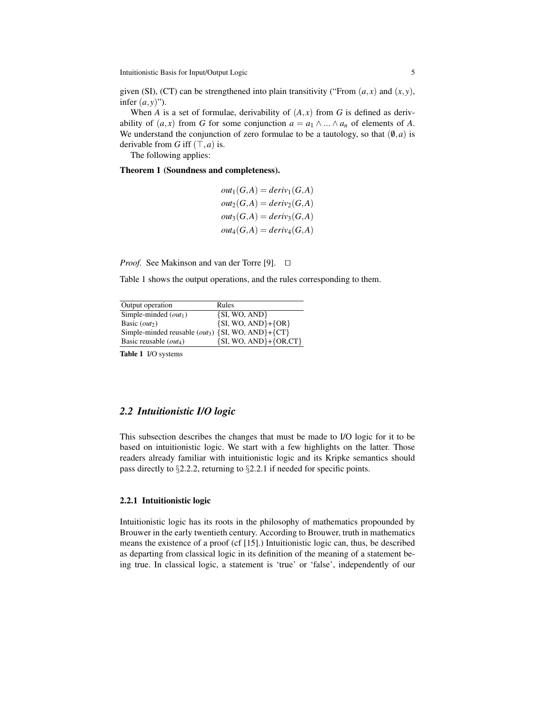given (SI), (CT) can be strengthened into plain transitivity ("From  $(a, x)$  and  $(x, y)$ , infer  $(a, y)$ ").

When *A* is a set of formulae, derivability of  $(A, x)$  from *G* is defined as derivability of  $(a, x)$  from *G* for some conjunction  $a = a_1 \wedge ... \wedge a_n$  of elements of *A*. We understand the conjunction of zero formulae to be a tautology, so that  $(0, a)$  is derivable from *G* iff  $(\top, a)$  is.

The following applies:

#### Theorem 1 (Soundness and completeness).

```
out_1(G,A) = deriv_1(G,A)out_2(G,A) = deriv_2(G,A)out_3(G,A) = deriv_3(G,A)out_4(G,A) = deriv_4(G,A)
```
*Proof.* See Makinson and van der Torre [9].  $\Box$ 

Table 1 shows the output operations, and the rules corresponding to them.

| Output operation                                    | Rules                        |
|-----------------------------------------------------|------------------------------|
| Simple-minded $(out_1)$                             | $\{SI, WO, AND\}$            |
| Basic $(out_2)$                                     | $\{SI, WO, AND\}+\{OR\}$     |
| Simple-minded reusable $(out_3)$ {SI, WO, AND}+{CT} |                              |
| Basic reusable $(out_4)$                            | $\{SI, WO, AND\}+\{OR, CT\}$ |

Table 1 I/O systems

## *2.2 Intuitionistic I/O logic*

This subsection describes the changes that must be made to I/O logic for it to be based on intuitionistic logic. We start with a few highlights on the latter. Those readers already familiar with intuitionistic logic and its Kripke semantics should pass directly to §2.2.2, returning to §2.2.1 if needed for specific points.

#### 2.2.1 Intuitionistic logic

Intuitionistic logic has its roots in the philosophy of mathematics propounded by Brouwer in the early twentieth century. According to Brouwer, truth in mathematics means the existence of a proof (cf [15].) Intuitionistic logic can, thus, be described as departing from classical logic in its definition of the meaning of a statement being true. In classical logic, a statement is 'true' or 'false', independently of our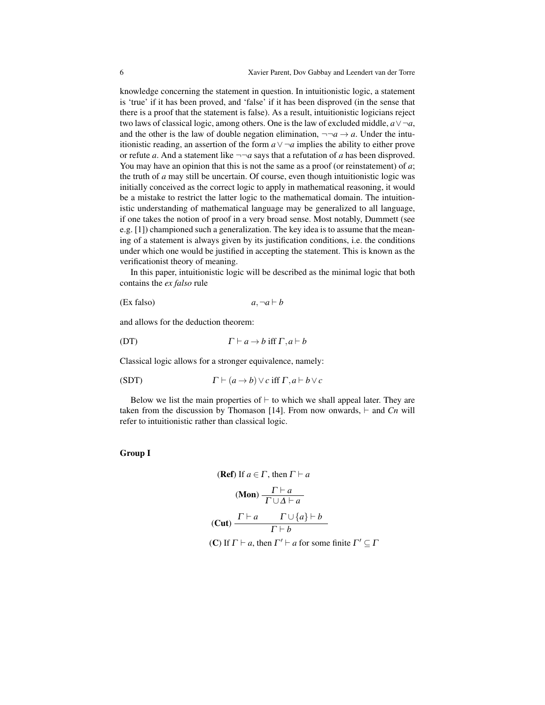knowledge concerning the statement in question. In intuitionistic logic, a statement is 'true' if it has been proved, and 'false' if it has been disproved (in the sense that there is a proof that the statement is false). As a result, intuitionistic logicians reject two laws of classical logic, among others. One is the law of excluded middle,  $a \vee \neg a$ , and the other is the law of double negation elimination,  $\neg \neg a \rightarrow a$ . Under the intuitionistic reading, an assertion of the form  $a \vee \neg a$  implies the ability to either prove or refute *a*. And a statement like  $\neg \neg a$  says that a refutation of *a* has been disproved. You may have an opinion that this is not the same as a proof (or reinstatement) of *a*; the truth of *a* may still be uncertain. Of course, even though intuitionistic logic was initially conceived as the correct logic to apply in mathematical reasoning, it would be a mistake to restrict the latter logic to the mathematical domain. The intuitionistic understanding of mathematical language may be generalized to all language, if one takes the notion of proof in a very broad sense. Most notably, Dummett (see e.g. [1]) championed such a generalization. The key idea is to assume that the meaning of a statement is always given by its justification conditions, i.e. the conditions under which one would be justified in accepting the statement. This is known as the verificationist theory of meaning.

In this paper, intuitionistic logic will be described as the minimal logic that both contains the *ex falso* rule

$$
(Ex false) \t a, \neg a \vdash b
$$

and allows for the deduction theorem:

(DT) 
$$
\Gamma \vdash a \to b \text{ iff } \Gamma, a \vdash b
$$

Classical logic allows for a stronger equivalence, namely:

(SDT) Γ ` (*a* → *b*)∨*c* iff Γ ,*a* ` *b*∨*c*

Below we list the main properties of  $\vdash$  to which we shall appeal later. They are taken from the discussion by Thomason [14]. From now onwards,  $\vdash$  and *Cn* will refer to intuitionistic rather than classical logic.

Group I

(Ref) If 
$$
a \in \Gamma
$$
, then  $\Gamma \vdash a$   
\n(Mon)  $\frac{\Gamma \vdash a}{\Gamma \cup \Delta \vdash a}$   
\n(Cut)  $\frac{\Gamma \vdash a \qquad \Gamma \cup \{a\} \vdash b}{\Gamma \vdash b}$   
\n(C) If  $\Gamma \vdash a$ , then  $\Gamma' \vdash a$  for some finite  $\Gamma' \subseteq \Gamma$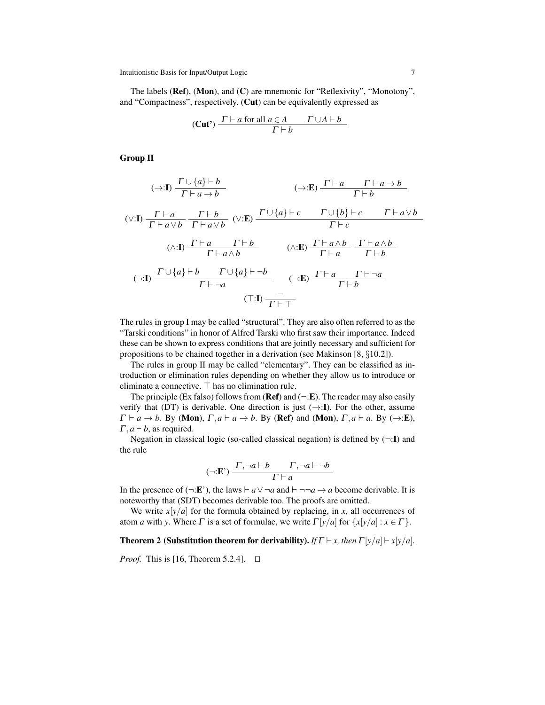The labels ( $\text{Ref}$ ), ( $\text{Mon}$ ), and  $(\text{C})$  are mnemonic for "Reflexivity", "Monotony", and "Compactness", respectively. (Cut) can be equivalently expressed as

$$
(\text{Cut}^*) \frac{\Gamma \vdash a \text{ for all } a \in A \qquad \Gamma \cup A \vdash b}{\Gamma \vdash b}
$$

Group II

$$
(\rightarrow : \mathbf{I}) \frac{\Gamma \cup \{a\} \vdash b}{\Gamma \vdash a \to b} \qquad (\rightarrow : \mathbf{E}) \frac{\Gamma \vdash a \qquad \Gamma \vdash a \to b}{\Gamma \vdash b}
$$
  

$$
(\vee : \mathbf{I}) \frac{\Gamma \vdash a}{\Gamma \vdash a \lor b} \frac{\Gamma \vdash b}{\Gamma \vdash a \lor b} \qquad (\vee : \mathbf{E}) \frac{\Gamma \cup \{a\} \vdash c \qquad \Gamma \cup \{b\} \vdash c \qquad \Gamma \vdash a \lor b}{\Gamma \vdash c}
$$
  

$$
(\wedge : \mathbf{I}) \frac{\Gamma \vdash a \qquad \Gamma \vdash b}{\Gamma \vdash a \land b} \qquad (\wedge : \mathbf{E}) \frac{\Gamma \vdash a \land b}{\Gamma \vdash a} \frac{\Gamma \vdash a \land b}{\Gamma \vdash b}
$$
  

$$
(\neg : \mathbf{I}) \frac{\Gamma \cup \{a\} \vdash b \qquad \Gamma \cup \{a\} \vdash \neg b}{\Gamma \vdash \neg a} \qquad (\neg : \mathbf{E}) \frac{\Gamma \vdash a \qquad \Gamma \vdash \neg a}{\Gamma \vdash b}
$$
  

$$
(\top : \mathbf{I}) \frac{\neg}{\Gamma \vdash \top}
$$

The rules in group I may be called "structural". They are also often referred to as the "Tarski conditions" in honor of Alfred Tarski who first saw their importance. Indeed these can be shown to express conditions that are jointly necessary and sufficient for propositions to be chained together in a derivation (see Makinson [8, §10.2]).

The rules in group II may be called "elementary". They can be classified as introduction or elimination rules depending on whether they allow us to introduce or eliminate a connective.  $\top$  has no elimination rule.

The principle (Ex falso) follows from (**Ref**) and ( $\neg$ :**E**). The reader may also easily verify that (DT) is derivable. One direction is just  $(\rightarrow)$ . For the other, assume  $\Gamma \vdash a \to b$ . By (Mon),  $\Gamma, a \vdash a \to b$ . By (Ref) and (Mon),  $\Gamma, a \vdash a$ . By ( $\to : E$ ),  $\Gamma$ ,  $a \vdash b$ , as required.

Negation in classical logic (so-called classical negation) is defined by  $(\neg \cdot I)$  and the rule

$$
(\neg \mathbf{E}') \frac{\Gamma, \neg a \vdash b \qquad \Gamma, \neg a \vdash \neg b}{\Gamma \vdash a}
$$

In the presence of (¬:E'), the laws  $\vdash a \lor \neg a$  and  $\vdash \neg \neg a \rightarrow a$  become derivable. It is noteworthy that (SDT) becomes derivable too. The proofs are omitted.

We write  $x[y/a]$  for the formula obtained by replacing, in *x*, all occurrences of atom *a* with *y*. Where  $\Gamma$  is a set of formulae, we write  $\Gamma[y/a]$  for  $\{x[y/a] : x \in \Gamma\}$ .

#### **Theorem 2 (Substitution theorem for derivability).** *If*  $\Gamma \vdash x$ , then  $\Gamma[y/a] \vdash x[y/a]$ .

*Proof.* This is [16, Theorem 5.2.4].  $\Box$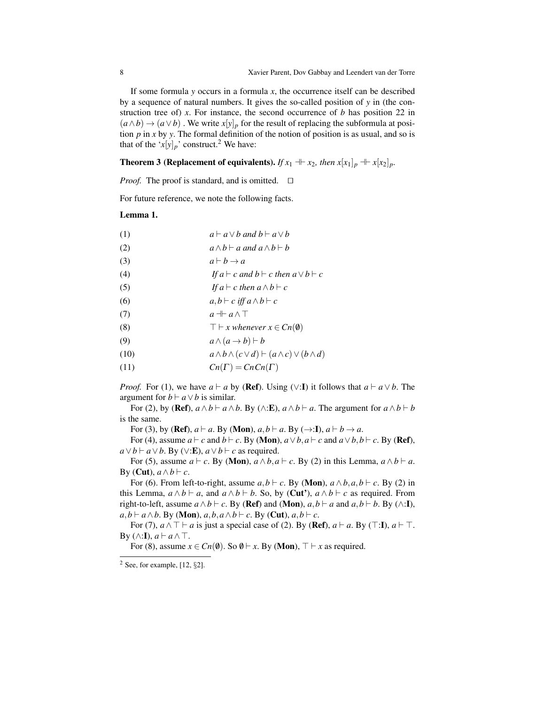If some formula  $y$  occurs in a formula  $x$ , the occurrence itself can be described by a sequence of natural numbers. It gives the so-called position of *y* in (the construction tree of) *x*. For instance, the second occurrence of *b* has position 22 in  $(a \wedge b) \rightarrow (a \vee b)$ . We write  $x[y]_p$  for the result of replacing the subformula at position  $p$  in  $x$  by  $y$ . The formal definition of the notion of position is as usual, and so is that of the ' $x[y]_p$ ' construct.<sup>2</sup> We have:

### **Theorem 3 (Replacement of equivalents).** *If*  $x_1 \oplus x_2$ , then  $x[x_1]_p \oplus x[x_2]_p$ .

*Proof.* The proof is standard, and is omitted.  $\square$ 

For future reference, we note the following facts.

### Lemma 1.

- (1)  $a \vdash a \lor b \text{ and } b \vdash a \lor b$
- (2)  $a \wedge b \vdash a \text{ and } a \wedge b \vdash b$
- (3)  $a \vdash b \rightarrow a$
- (4) *If a*  $\vdash$  *c* and *b*  $\vdash$  *c* then  $a \lor b \vdash c$
- (5) *If a*  $\vdash$  *c* then  $a \wedge b \vdash c$
- (6)  $a, b \vdash c \text{ iff } a \wedge b \vdash c$
- (7)  $a \pm a \wedge \top$
- (8)  $\top \vdash x$  whenever  $x \in Cn(\emptyset)$
- (9)  $a \wedge (a \rightarrow b) \vdash b$
- (10)  $a \wedge b \wedge (c \vee d) \vdash (a \wedge c) \vee (b \wedge d)$
- (11)  $Cn(\Gamma) = CnCn(\Gamma)$

*Proof.* For (1), we have  $a \vdash a$  by (**Ref**). Using (∨:**I**) it follows that  $a \vdash a \lor b$ . The argument for  $b \vdash a \lor b$  is similar.

For (2), by (Ref),  $a \wedge b \vdash a \wedge b$ . By ( $\wedge$ :E),  $a \wedge b \vdash a$ . The argument for  $a \wedge b \vdash b$ is the same.

For (3), by (**Ref**),  $a \vdash a$ . By (**Mon**),  $a, b \vdash a$ . By ( $\rightarrow$ :**I**),  $a \vdash b \rightarrow a$ .

For (4), assume  $a \vdash c$  and  $b \vdash c$ . By (Mon),  $a \lor b$ ,  $a \vdash c$  and  $a \lor b$ ,  $b \vdash c$ . By (Ref),  $a \vee b \vdash a \vee b$ . By ( $\vee$ :**E**),  $a \vee b \vdash c$  as required.

For (5), assume  $a \vdash c$ . By (Mon),  $a \land b$ ,  $a \vdash c$ . By (2) in this Lemma,  $a \land b \vdash a$ . By (Cut),  $a \wedge b \vdash c$ .

For (6). From left-to-right, assume  $a, b \vdash c$ . By (Mon),  $a \land b, a, b \vdash c$ . By (2) in this Lemma,  $a \wedge b \vdash a$ , and  $a \wedge b \vdash b$ . So, by (Cut'),  $a \wedge b \vdash c$  as required. From right-to-left, assume  $a \wedge b \vdash c$ . By (Ref) and (Mon),  $a, b \vdash a$  and  $a, b \vdash b$ . By ( $\wedge$ :I), *a*,*b*  $\vdash$  *a* ∧*b*. By (Mon), *a*,*b*,*a* ∧*b*  $\vdash$  *c*. By (Cut), *a*,*b*  $\vdash$  *c*.

For (7),  $a \wedge \top \vdash a$  is just a special case of (2). By (**Ref**),  $a \vdash a$ . By ( $\top$ :**I**),  $a \vdash \top$ . By  $(\wedge:\mathbf{I}), a \vdash a \wedge \top.$ 

For (8), assume  $x \in Cn(\emptyset)$ . So  $\emptyset \vdash x$ . By (**Mon**),  $\top \vdash x$  as required.

 $2$  See, for example, [12,  $\S$ 2].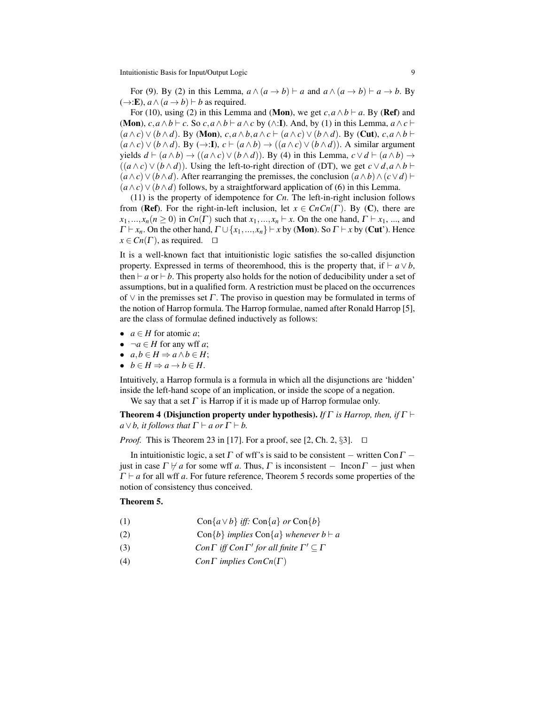For (9). By (2) in this Lemma,  $a \wedge (a \rightarrow b) \vdash a$  and  $a \wedge (a \rightarrow b) \vdash a \rightarrow b$ . By  $(\rightarrow E), a \land (a \rightarrow b) \vdash b$  as required.

For (10), using (2) in this Lemma and (Mon), we get  $c, a \wedge b \vdash a$ . By (Ref) and (Mon),  $c, a \wedge b \vdash c$ . So  $c, a \wedge b \vdash a \wedge c$  by ( $\wedge$ :I). And, by (1) in this Lemma,  $a \wedge c \vdash$  $(a ∧ c) ∨ (b ∧ d)$ . By (Mon),  $c, a ∧ b, a ∧ c ⊢ (a ∧ c) ∨ (b ∧ d)$ . By (Cut),  $c, a ∧ b ⊢$  $(a \wedge c) \vee (b \wedge d)$ . By  $(\rightarrow :I)$ ,  $c \vdash (a \wedge b) \rightarrow ((a \wedge c) \vee (b \wedge d))$ . A similar argument yields  $d \vdash (a \land b) \rightarrow ((a \land c) \lor (b \land d))$ . By (4) in this Lemma,  $c \lor d \vdash (a \land b) \rightarrow$  $((a \wedge c) \vee (b \wedge d))$ . Using the left-to-right direction of (DT), we get  $c \vee d, a \wedge b \vdash$  $(a \wedge c) \vee (b \wedge d)$ . After rearranging the premisses, the conclusion  $(a \wedge b) \wedge (c \vee d)$  $(a \wedge c) \vee (b \wedge d)$  follows, by a straightforward application of (6) in this Lemma.

(11) is the property of idempotence for *Cn*. The left-in-right inclusion follows from (Ref). For the right-in-left inclusion, let  $x \in CnCn(\Gamma)$ . By (C), there are  $x_1,...,x_n$  ( $n \ge 0$ ) in  $Cn(\Gamma)$  such that  $x_1,...,x_n \vdash x$ . On the one hand,  $\Gamma \vdash x_1, ..., x_n$  $\Gamma \vdash x_n$ . On the other hand,  $\Gamma \cup \{x_1,...,x_n\} \vdash x$  by (Mon). So  $\Gamma \vdash x$  by (Cut'). Hence  $x \in Cn(\Gamma)$ , as required.  $\square$ 

It is a well-known fact that intuitionistic logic satisfies the so-called disjunction property. Expressed in terms of theoremhood, this is the property that, if  $\vdash a \lor b$ , then  $\vdash$  *a* or  $\vdash$  *b*. This property also holds for the notion of deducibility under a set of assumptions, but in a qualified form. A restriction must be placed on the occurrences of  $\vee$  in the premisses set  $\Gamma$ . The proviso in question may be formulated in terms of the notion of Harrop formula. The Harrop formulae, named after Ronald Harrop [5], are the class of formulae defined inductively as follows:

- $a \in H$  for atomic *a*;
- $\neg a \in H$  for any wff *a*;
- $a, b \in H \Rightarrow a \wedge b \in H$ ;
- $b \in H \Rightarrow a \to b \in H$ .

Intuitively, a Harrop formula is a formula in which all the disjunctions are 'hidden' inside the left-hand scope of an implication, or inside the scope of a negation.

We say that a set  $\Gamma$  is Harrop if it is made up of Harrop formulae only.

Theorem 4 (Disjunction property under hypothesis). *If* Γ *is Harrop, then, if* Γ `  $a \vee b$ *, it follows that*  $\Gamma \vdash a$  *or*  $\Gamma \vdash b$ *.* 

*Proof.* This is Theorem 23 in [17]. For a proof, see [2, Ch. 2,  $\S3$ ].  $\square$ 

In intuitionistic logic, a set  $\Gamma$  of wff's is said to be consistent – written Con $\Gamma$  – just in case  $\Gamma \not\vdash a$  for some wff *a*. Thus,  $\Gamma$  is inconsistent – Incon $\Gamma$  – just when  $\Gamma \vdash a$  for all wff *a*. For future reference, Theorem 5 records some properties of the notion of consistency thus conceived.

#### Theorem 5.

- (1)  $\text{Con}\lbrace a \lor b \rbrace \text{ iff: } \text{Con}\lbrace a \rbrace \text{ or } \text{Con}\lbrace b \rbrace$
- (2) Con ${b}$  *implies* Con ${a}$  *whenever*  $b \vdash a$
- (3)  $Con \Gamma$  *iff*  $Con \Gamma'$  *for all finite*  $\Gamma' \subseteq \Gamma$
- (4) *Con*Γ *implies ConCn*(Γ )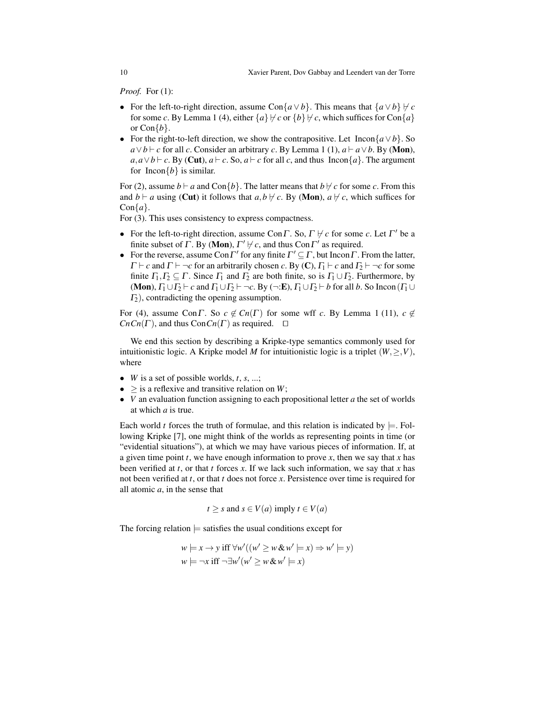*Proof.* For (1):

- For the left-to-right direction, assume Con ${a \lor b}$ . This means that  ${a \lor b} \lor c$ for some *c*. By Lemma 1 (4), either  $\{a\} \not\vdash c$  or  $\{b\} \not\vdash c$ , which suffices for Con $\{a\}$ or  $Con{b}$ .
- For the right-to-left direction, we show the contrapositive. Let Incon{ $a \vee b$ }. So *a*∨*b*  $\vdash$  *c* for all *c*. Consider an arbitrary *c*. By Lemma 1 (1), *a*  $\vdash$  *a* ∨*b*. By (Mon),  $a, a \vee b \vdash c$ . By (Cut),  $a \vdash c$ . So,  $a \vdash c$  for all *c*, and thus Incon $\{a\}$ . The argument for  $Incon\{b\}$  is similar.

For (2), assume  $b \vdash a$  and Con $\{b\}$ . The latter means that  $b \not\vdash c$  for some *c*. From this and  $b \vdash a$  using (Cut) it follows that  $a, b \not\vdash c$ . By (Mon),  $a \not\vdash c$ , which suffices for  $Con{a}.$ 

For (3). This uses consistency to express compactness.

- For the left-to-right direction, assume Con  $\Gamma$ . So,  $\Gamma \not\vdash c$  for some *c*. Let  $\Gamma'$  be a finite subset of  $\Gamma$ . By (**Mon**),  $\Gamma' \not\vdash c$ , and thus Con $\Gamma'$  as required.
- For the reverse, assume Con Γ' for any finite  $\Gamma' \subseteq \Gamma$ , but Incon Γ. From the latter,  $\Gamma \vdash c$  and  $\Gamma \vdash \neg c$  for an arbitrarily chosen *c*. By (C),  $\Gamma_1 \vdash c$  and  $\Gamma_2 \vdash \neg c$  for some finite  $\Gamma_1, \Gamma_2 \subseteq \Gamma$ . Since  $\Gamma_1$  and  $\Gamma_2$  are both finite, so is  $\Gamma_1 \cup \Gamma_2$ . Furthermore, by (Mon),  $\Gamma_1 \cup \Gamma_2 \vdash c$  and  $\Gamma_1 \cup \Gamma_2 \vdash \neg c$ . By ( $\neg: E$ ),  $\Gamma_1 \cup \Gamma_2 \vdash b$  for all *b*. So Incon( $\Gamma_1 \cup$  $\Gamma_2$ ), contradicting the opening assumption.

For (4), assume Con $\Gamma$ . So  $c \notin C_n(\Gamma)$  for some wff *c*. By Lemma 1 (11),  $c \notin C_n(\Gamma)$  $CnCn(\Gamma)$ , and thus  $ConCn(\Gamma)$  as required.  $\square$ 

We end this section by describing a Kripke-type semantics commonly used for intuitionistic logic. A Kripke model *M* for intuitionistic logic is a triplet  $(W, \geq, V)$ , where

- *W* is a set of possible worlds,  $t, s, \ldots;$
- $\geq$  is a reflexive and transitive relation on *W*;
- *V* an evaluation function assigning to each propositional letter *a* the set of worlds at which *a* is true.

Each world *t* forces the truth of formulae, and this relation is indicated by  $\models$ . Following Kripke [7], one might think of the worlds as representing points in time (or "evidential situations"), at which we may have various pieces of information. If, at a given time point *t*, we have enough information to prove *x*, then we say that *x* has been verified at *t*, or that *t* forces *x*. If we lack such information, we say that *x* has not been verified at *t*, or that *t* does not force *x*. Persistence over time is required for all atomic *a*, in the sense that

$$
t \geq s
$$
 and  $s \in V(a)$  imply  $t \in V(a)$ 

The forcing relation  $\models$  satisfies the usual conditions except for

$$
w \models x \rightarrow y \text{ iff } \forall w'((w' \ge w \& w' \models x) \Rightarrow w' \models y)
$$
  

$$
w \models \neg x \text{ iff } \neg \exists w'(w' \ge w \& w' \models x)
$$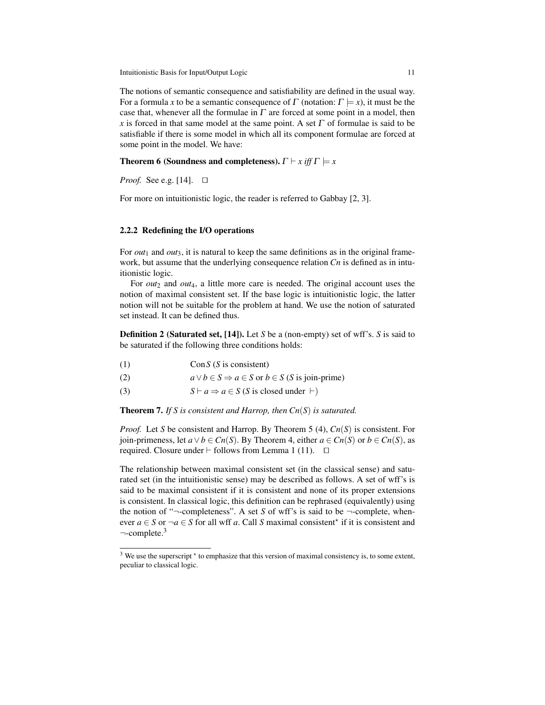The notions of semantic consequence and satisfiability are defined in the usual way. For a formula *x* to be a semantic consequence of  $\Gamma$  (notation:  $\Gamma \models x$ ), it must be the case that, whenever all the formulae in  $\Gamma$  are forced at some point in a model, then *x* is forced in that same model at the same point. A set  $\Gamma$  of formulae is said to be satisfiable if there is some model in which all its component formulae are forced at some point in the model. We have:

**Theorem 6 (Soundness and completeness).**  $\Gamma \vdash x$  *iff*  $\Gamma \models x$ 

*Proof.* See e.g. [14].  $\Box$ 

For more on intuitionistic logic, the reader is referred to Gabbay [2, 3].

#### 2.2.2 Redefining the I/O operations

For  $out_1$  and  $out_3$ , it is natural to keep the same definitions as in the original framework, but assume that the underlying consequence relation *Cn* is defined as in intuitionistic logic.

For *out*<sub>2</sub> and *out*<sub>4</sub>, a little more care is needed. The original account uses the notion of maximal consistent set. If the base logic is intuitionistic logic, the latter notion will not be suitable for the problem at hand. We use the notion of saturated set instead. It can be defined thus.

Definition 2 (Saturated set, [14]). Let *S* be a (non-empty) set of wff's. *S* is said to be saturated if the following three conditions holds:

- Con*S* (*S* is consistent)(1)
- (2)  $a \lor b \in S \Rightarrow a \in S \text{ or } b \in S$  (*S* is join-prime)
- (3)  $S \vdash a \Rightarrow a \in S$  (*S* is closed under  $\vdash$ )

Theorem 7. *If S is consistent and Harrop, then Cn*(*S*) *is saturated.*

*Proof.* Let *S* be consistent and Harrop. By Theorem 5 (4), *Cn*(*S*) is consistent. For join-primeness, let *a*∨*b* ∈ *Cn*(*S*). By Theorem 4, either *a* ∈ *Cn*(*S*) or *b* ∈ *Cn*(*S*), as required. Closure under  $\vdash$  follows from Lemma 1 (11).  $\Box$ 

The relationship between maximal consistent set (in the classical sense) and saturated set (in the intuitionistic sense) may be described as follows. A set of wff's is said to be maximal consistent if it is consistent and none of its proper extensions is consistent. In classical logic, this definition can be rephrased (equivalently) using the notion of " $\neg$ -completeness". A set *S* of wff's is said to be  $\neg$ -complete, whenever  $a \in S$  or  $\neg a \in S$  for all wff *a*. Call *S* maximal consistent<sup>\*</sup> if it is consistent and  $\neg$ -complete.<sup>3</sup>

 $3$  We use the superscript  $\star$  to emphasize that this version of maximal consistency is, to some extent, peculiar to classical logic.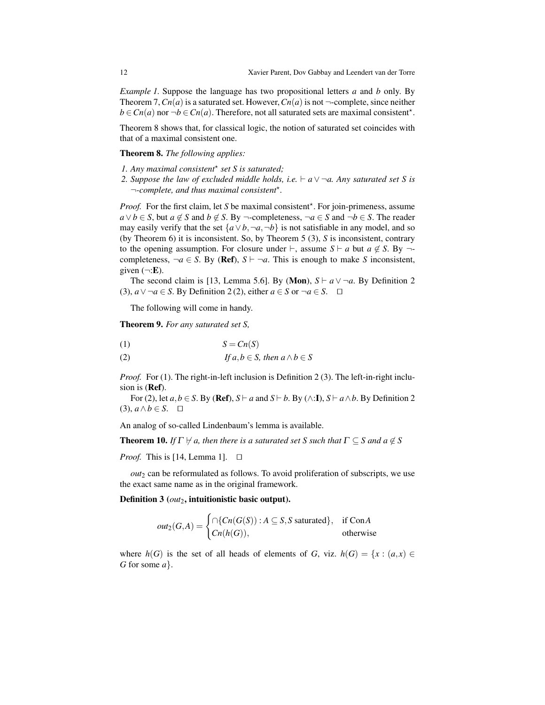*Example 1.* Suppose the language has two propositional letters *a* and *b* only. By Theorem 7,  $Cn(a)$  is a saturated set. However,  $Cn(a)$  is not  $\neg$ -complete, since neither  $b \in Cn(a)$  nor  $\neg b \in Cn(a)$ . Therefore, not all saturated sets are maximal consistent<sup>\*</sup>.

Theorem 8 shows that, for classical logic, the notion of saturated set coincides with that of a maximal consistent one.

Theorem 8. *The following applies:*

- *1. Any maximal consistent*? *set S is saturated;*
- *2. Suppose the law of excluded middle holds, i.e.*  $\vdash$  *a*∨  $\neg$ *a. Any saturated set S is* <sup>¬</sup>*-complete, and thus maximal consistent*? *.*

Proof. For the first claim, let *S* be maximal consistent<sup>\*</sup>. For join-primeness, assume *a*∨*b* ∈ *S*, but *a*  $\notin$  *S* and *b*  $\notin$  *S*. By ¬-completeness, ¬*a* ∈ *S* and ¬*b* ∈ *S*. The reader may easily verify that the set  $\{a \lor b, \neg a, \neg b\}$  is not satisfiable in any model, and so (by Theorem 6) it is inconsistent. So, by Theorem 5 (3), *S* is inconsistent, contrary to the opening assumption. For closure under  $\vdash$ , assume *S*  $\vdash$  *a* but *a*  $\notin$  *S*. By  $\neg$ completeness,  $\neg a \in S$ . By (Ref),  $S \vdash \neg a$ . This is enough to make *S* inconsistent, given  $(\neg : E)$ .

The second claim is [13, Lemma 5.6]. By (Mon),  $S \vdash a \lor \neg a$ . By Definition 2 (3),  $a \lor \neg a \in S$ . By Definition 2 (2), either  $a \in S$  or  $\neg a \in S$ . □

The following will come in handy.

Theorem 9. *For any saturated set S,*

- (1)  $S = Cn(S)$
- (2) *If*  $a, b \in S$ *, then*  $a \wedge b \in S$

*Proof.* For (1). The right-in-left inclusion is Definition 2 (3). The left-in-right inclusion is (Ref).

For (2), let  $a, b \in S$ . By (Ref),  $S \vdash a$  and  $S \vdash b$ . By ( $\wedge : I$ ),  $S \vdash a \wedge b$ . By Definition 2  $(3)$ *, a* ∧ *b* ∈ *S*. □

An analog of so-called Lindenbaum's lemma is available.

**Theorem 10.** *If*  $\Gamma \nvdash a$ *, then there is a saturated set S such that*  $\Gamma \subseteq S$  *and*  $a \notin S$ 

*Proof.* This is [14, Lemma 1].  $\Box$ 

 $out_2$  can be reformulated as follows. To avoid proliferation of subscripts, we use the exact same name as in the original framework.

Definition 3 (*out*<sub>2</sub>, intuitionistic basic output).

$$
out_2(G,A) = \begin{cases} \cap \{Cn(G(S)) : A \subseteq S, S \text{ saturated}\}, & \text{if Con}A\\ Cn(h(G)), & \text{otherwise} \end{cases}
$$

where  $h(G)$  is the set of all heads of elements of *G*, viz.  $h(G) = \{x : (a,x) \in$ *G* for some *a*}.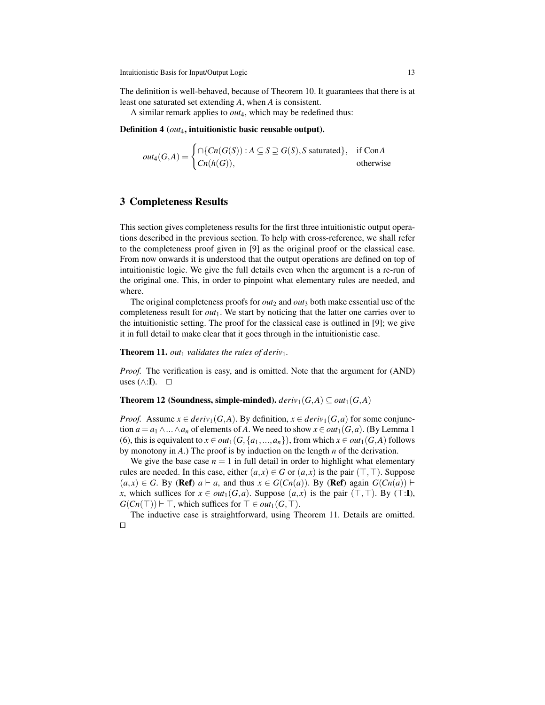The definition is well-behaved, because of Theorem 10. It guarantees that there is at least one saturated set extending *A*, when *A* is consistent.

A similar remark applies to *out*4, which may be redefined thus:

Definition 4 (*out*<sub>4</sub>, intuitionistic basic reusable output).

$$
out_4(G,A) = \begin{cases} \cap \{Cn(G(S)) : A \subseteq S \supseteq G(S), S \text{ saturated} \}, & \text{if } \text{Con}A \\ Cn(h(G)), & \text{otherwise} \end{cases}
$$

## 3 Completeness Results

This section gives completeness results for the first three intuitionistic output operations described in the previous section. To help with cross-reference, we shall refer to the completeness proof given in [9] as the original proof or the classical case. From now onwards it is understood that the output operations are defined on top of intuitionistic logic. We give the full details even when the argument is a re-run of the original one. This, in order to pinpoint what elementary rules are needed, and where.

The original completeness proofs for  $out_2$  and  $out_3$  both make essential use of the completeness result for  $out_1$ . We start by noticing that the latter one carries over to the intuitionistic setting. The proof for the classical case is outlined in [9]; we give it in full detail to make clear that it goes through in the intuitionistic case.

**Theorem 11.** *out*<sub>1</sub> *validates the rules of deriv*<sub>1</sub>*.* 

*Proof.* The verification is easy, and is omitted. Note that the argument for (AND) uses ( $∧:I$ ). □

#### **Theorem 12 (Soundness, simple-minded).**  $deriv_1(G,A) \subseteq out_1(G,A)$

*Proof.* Assume  $x \in deriv_1(G,A)$ . By definition,  $x \in deriv_1(G,a)$  for some conjunction *a* = *a*<sub>1</sub> ∧...∧*a*<sub>*n*</sub> of elements of *A*. We need to show *x* ∈ *out*<sub>1</sub>(*G*,*a*). (By Lemma 1 (6), this is equivalent to  $x \in out_1(G, \{a_1, ..., a_n\})$ , from which  $x \in out_1(G, A)$  follows by monotony in *A*.) The proof is by induction on the length *n* of the derivation.

We give the base case  $n = 1$  in full detail in order to highlight what elementary rules are needed. In this case, either  $(a, x) \in G$  or  $(a, x)$  is the pair  $(\top, \top)$ . Suppose  $(a, x) \in G$ . By (Ref)  $a \vdash a$ , and thus  $x \in G(Cn(a))$ . By (Ref) again  $G(Cn(a)) \vdash$ *x*, which suffices for  $x \in out_1(G, a)$ . Suppose  $(a, x)$  is the pair  $(\top, \top)$ . By  $(\top : I)$ ,  $G(Cn(\top)) \vdash \top$ , which suffices for  $\top \in out_1(G, \top)$ .

The inductive case is straightforward, using Theorem 11. Details are omitted.  $\Box$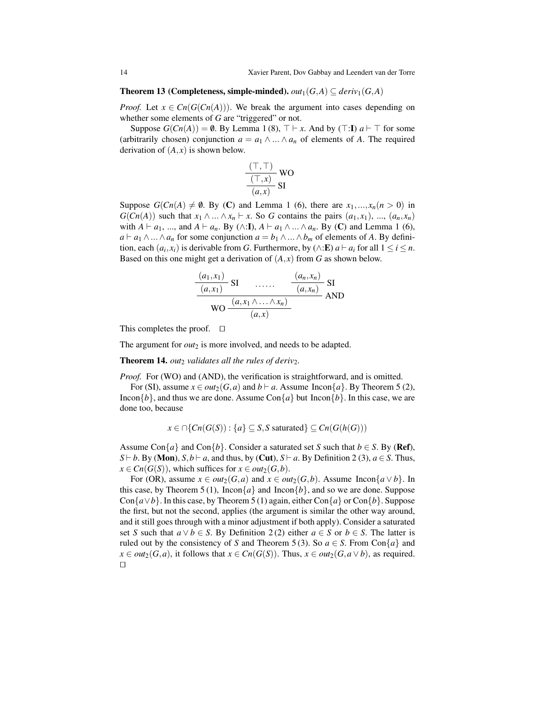#### **Theorem 13 (Completeness, simple-minded).**  $out_1(G,A) \subseteq deriv_1(G,A)$

*Proof.* Let  $x \in C_n(G(C_n(A)))$ . We break the argument into cases depending on whether some elements of *G* are "triggered" or not.

Suppose  $G(Cn(A)) = \emptyset$ . By Lemma 1(8),  $\top \vdash x$ . And by ( $\top : I$ )  $a \vdash \top$  for some (arbitrarily chosen) conjunction  $a = a_1 \wedge ... \wedge a_n$  of elements of *A*. The required derivation of  $(A, x)$  is shown below.

$$
\frac{(\top, \top)}{(\top, x)} \text{WO}
$$

$$
\frac{(\top, x)}{(a, x)} \text{SI}
$$

Suppose  $G(Cn(A) \neq \emptyset$ . By (C) and Lemma 1 (6), there are  $x_1, ..., x_n (n > 0)$  in  $G(Cn(A))$  such that  $x_1 \wedge ... \wedge x_n \vdash x$ . So *G* contains the pairs  $(a_1, x_1), ..., (a_n, x_n)$ with  $A \vdash a_1, ...,$  and  $A \vdash a_n$ . By ( $\wedge$ :**I**),  $A \vdash a_1 \wedge ... \wedge a_n$ . By (**C**) and Lemma 1 (6), *a*  $\vdash$  *a*<sub>1</sub> ∧ ... ∧ *a*<sub>*n*</sub> for some conjunction *a* = *b*<sub>1</sub> ∧ ... ∧ *b*<sub>*m*</sub> of elements of *A*. By definition, each  $(a_i, x_i)$  is derivable from *G*. Furthermore, by  $(\wedge : \mathbf{E})$  *a*  $\vdash a_i$  for all  $1 \le i \le n$ . Based on this one might get a derivation of  $(A, x)$  from  $G$  as shown below.

$$
\frac{(a_1, x_1)}{(a, x_1)} \text{ SI} \quad \dots \quad \frac{(a_n, x_n)}{(a, x_n)} \text{ SI}
$$
\n
$$
\text{WO} \frac{(a, x_1 \land \dots \land x_n)}{(a, x)} \text{ AND}
$$

This completes the proof.  $\Box$ 

The argument for *out*<sub>2</sub> is more involved, and needs to be adapted.

Theorem 14. *out*<sub>2</sub> *validates all the rules of deriv*<sub>2</sub>*.* 

*Proof.* For (WO) and (AND), the verification is straightforward, and is omitted.

For (SI), assume  $x \in out_2(G, a)$  and  $b \vdash a$ . Assume Incon $\{a\}$ . By Theorem 5 (2), Incon ${b}$ , and thus we are done. Assume Con ${a}$  but Incon ${b}$ . In this case, we are done too, because

$$
x \in \cap \{Cn(G(S)) : \{a\} \subseteq S, S \text{ saturated}\} \subseteq Cn(G(h(G)))
$$

Assume Con $\{a\}$  and Con $\{b\}$ . Consider a saturated set *S* such that  $b \in S$ . By (Ref),  $S \vdash b$ . By (**Mon**),  $S, b \vdash a$ , and thus, by (**Cut**),  $S \vdash a$ . By Definition 2 (3),  $a \in S$ . Thus,  $x \in C_n(G(S))$ , which suffices for  $x \in out_2(G,b)$ .

For (OR), assume  $x \in out_2(G, a)$  and  $x \in out_2(G, b)$ . Assume Incon $\{a \lor b\}$ . In this case, by Theorem 5 (1), Incon $\{a\}$  and Incon $\{b\}$ , and so we are done. Suppose Con ${a \vee b}$ . In this case, by Theorem 5 (1) again, either Con ${a}$  or Con ${b}$ . Suppose the first, but not the second, applies (the argument is similar the other way around, and it still goes through with a minor adjustment if both apply). Consider a saturated set *S* such that  $a \lor b \in S$ . By Definition 2(2) either  $a \in S$  or  $b \in S$ . The latter is ruled out by the consistency of *S* and Theorem 5 (3). So  $a \in S$ . From Con $\{a\}$  and *x* ∈ *out*<sub>2</sub>(*G*,*a*), it follows that *x* ∈ *Cn*(*G*(*S*)). Thus, *x* ∈ *out*<sub>2</sub>(*G*,*a* ∨ *b*), as required.  $\Box$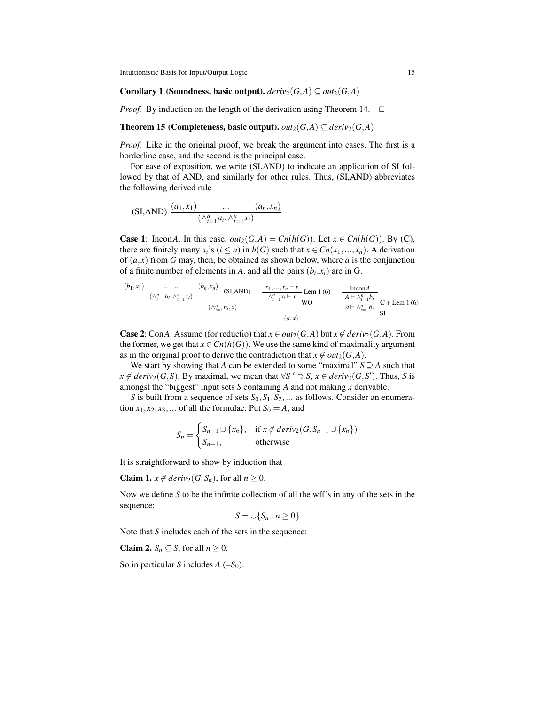# Corollary 1 (Soundness, basic output).  $\text{deriv}_2(G,A) \subseteq \text{out}_2(G,A)$

*Proof.* By induction on the length of the derivation using Theorem 14.

*Proof.* By induction on the length of the derivation using Theorem 14.  $\Box$ Corollary 1 (Soundness, basic output). *deriv*2(*G*,*A*) ⊆ *out*2(*G*,*A*)

## Theorem 15 (Completeness, basic output). *out*<sub>2</sub>(*G*,*A*) ⊆ *deriv*<sub>2</sub>(*G*,*A*)

*Proof.* Like in the original proof, we break the argument into cases. The first is a borderline case, and the second is the principal case. borderline case, and the second is the principal case.

For ease of exposition, we write (SI,AND) to indicate an application of SI fol-For ease of exposition, we write (SI,AND) to indicate an application of SI followed by that of AND, and similarly for other rules. Thus, (SI,AND) abbreviates lowed by that of AND, and similarly for other rules. Thus, (SI,AND) abbreviates the following derived rule the following derived rule

(SI,AND) 
$$
\frac{(a_1, x_1) \dots (a_n, x_n)}{(\wedge_{i=1}^n a_i, \wedge_{i=1}^n x_i)}
$$

**Case 1:** InconA. In this case,  $out_2(G,A) = Cn(h(G))$ . Let  $x \in Cn(h(G))$ . By (C), there are finitely many  $x_i$ 's  $(i \le n)$  in  $h(G)$  such that  $x \in Ch(x_1,...,x_n)$ . A derivation of  $(a, x)$  from *G* may, then, be obtained as shown below, where *a* is the conjunction of a finite number of elements in *A*, and all the pairs  $(b_i, x_i)$  are in G. of  $a \in \text{Im}(\alpha_1, \ldots, \alpha_n)$ ,  $\alpha$  is  $\alpha \geq n$  in  $n(\alpha)$  such that  $\alpha \in \text{Im}(\alpha_1, \ldots, \alpha_n)$ . A de

$$
\frac{(b_1, x_1) \cdots \cdots \cdots (b_n, x_n)}{\frac{(\wedge_{i=1}^n b_i, \wedge_{i=1}^n x_i)}{\wedge_{i=1}^n b_i, x_i}} \xrightarrow{\text{(SI,AND)}} \frac{x_1, \ldots, x_n \vdash x}{\wedge_{i=1}^n x_i \vdash x} \text{Lem 1 (6)} \qquad \frac{\text{InconA}}{A \vdash \wedge_{i=1}^n b_i}}{\text{AL } \wedge_{i=1}^n b_i} \text{C} + \text{Lem 1 (6)}
$$
\n
$$
\frac{(\wedge_{i=1}^n b_i, x)}{\wedge_{i=1}^n b_i} \xrightarrow{\text{(d, x)}} \text{CI}
$$

**Case 2:** ConA. Assume (for reductio) that  $x \in out_2(G,A)$  but  $x \notin deriv_2(G,A)$ . From the former, we get that  $x \in Cn(h(G))$ . We use the same kind of maximality argument as in the original proof to derive the contradiction that  $x \notin out_2(G,A)$ .

We start by showing that *A* can be extended to some "maximal"  $S \supseteq A$  such that *x* ∉ *deriv*<sup>2</sup>(*G*, *S*). By maximal, we mean that  $\forall S' \supset S$ , *x* ∈ *deriv*<sup>2</sup>(*G*, *S*<sup>*N*</sup>). Thus, *S* is  $x \notin deriv_2(G, S)$ . By maximal, we mean that  $\forall S' \supset S$ ,  $x \in deriv_2(G, S')$ . Thus, S is amongst the "biggest" input sets *S* containing *A* and not making *x* derivable.

*S* is built from a sequence of sets  $S_0, S_1, S_2, \ldots$  as follows. Consider an enumeration  $x_1, x_2, x_3, \ldots$  of all the formulae. Put  $S_0 = A$ , and

$$
S_n = \begin{cases} S_{n-1} \cup \{x_n\}, & \text{if } x \notin deriv_2(G, S_{n-1} \cup \{x_n\}) \\ S_{n-1}, & \text{otherwise} \end{cases}
$$

It is straightforward to show by induction that

**Claim 1.**  $x \notin deriv_2(G, S_n)$ , for all  $n \geq 0$ .

sequence: *Now we define <i>S* to be the infinite collection of all the wff's in any of the sets in the  $S = \lfloor \frac{S}{s} \rfloor$ sequence:

$$
S=\cup\{S_n:n\geq 0\}
$$

Note that *S* includes each of the sets in the sequence:

**Claim 2.**  $S_n \subseteq S$ , for all  $n \geq 0$ .

So in particular *S* includes  $A (=S_0)$ .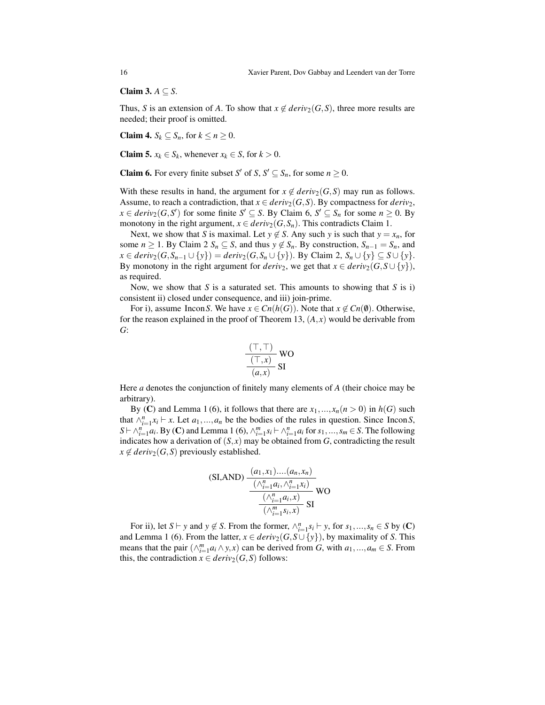Claim 3. *A* ⊆ *S*.

Thus, *S* is an extension of *A*. To show that  $x \notin deriv_2(G, S)$ , three more results are needed; their proof is omitted.

**Claim 4.**  $S_k \subseteq S_n$ , for  $k \leq n \geq 0$ .

**Claim 5.**  $x_k \in S_k$ , whenever  $x_k \in S$ , for  $k > 0$ .

**Claim 6.** For every finite subset *S'* of *S*,  $S' \subseteq S_n$ , for some  $n \ge 0$ .

With these results in hand, the argument for  $x \notin deriv_2(G, S)$  may run as follows. Assume, to reach a contradiction, that  $x \in deriv_2(G, S)$ . By compactness for *deriv*<sub>2</sub>, *x* ∈ *deriv*<sub>2</sub>(*G*,*S*<sup> $\prime$ </sup>) for some finite *S*<sup> $\prime$ </sup> ⊆ *S*. By Claim 6, *S*<sup> $\prime$ </sup> ⊆ *S<sub>n</sub>* for some *n* ≥ 0. By monotony in the right argument,  $x \in deriv_2(G, S_n)$ . This contradicts Claim 1.

Next, we show that *S* is maximal. Let  $y \notin S$ . Any such *y* is such that  $y = x_n$ , for some *n*  $\geq$  1. By Claim 2  $S_n \subseteq S$ , and thus  $y \notin S_n$ . By construction,  $S_{n-1} = S_n$ , and *x* ∈ *deriv*<sub>2</sub>(*G*, *S*<sub>*n*−1</sub> ∪ {*y*}) = *deriv*<sub>2</sub>(*G*, *S*<sub>*n*</sub> ∪ {*y*}). By Claim 2, *S*<sub>*n*</sub> ∪ {*y*} ⊆ *S* ∪ {*y*}. By monotony in the right argument for *deriv*<sub>2</sub>, we get that  $x \in deriv_2(G, S \cup \{y\})$ , as required.

Now, we show that *S* is a saturated set. This amounts to showing that *S* is i) consistent ii) closed under consequence, and iii) join-prime.

For i), assume Incon *S*. We have  $x \in Cn(h(G))$ . Note that  $x \notin Cn(\emptyset)$ . Otherwise, for the reason explained in the proof of Theorem 13,  $(A, x)$  would be derivable from *G*:

$$
\frac{(\top, \top)}{(\top, x)} \text{WO}
$$

$$
\frac{(\top, x)}{(a, x)} \text{SI}
$$

Here *a* denotes the conjunction of finitely many elements of *A* (their choice may be arbitrary).

By (C) and Lemma 1 (6), it follows that there are  $x_1, ..., x_n$  ( $n > 0$ ) in  $h(G)$  such that  $\wedge_{i=1}^{n} x_i \vdash x$ . Let  $a_1, ..., a_n$  be the bodies of the rules in question. Since Incon*S*,  $S \vdash \wedge_{i=1}^{n} a_i$ . By (C) and Lemma 1 (6),  $\wedge_{i=1}^{m} s_i \vdash \wedge_{i=1}^{n} a_i$  for  $s_1, ..., s_m \in S$ . The following indicates how a derivation of  $(S, x)$  may be obtained from  $G$ , contradicting the result  $x \notin$  *deriv*<sub>2</sub>(*G*, *S*) previously established.

(SI,AND) 
$$
\frac{(a_1, x_1)....(a_n, x_n)}{\frac{(\wedge_{i=1}^n a_i, \wedge_{i=1}^n x_i)}{(\wedge_{i=1}^n a_i, x)}}\text{WO}
$$
  
\n
$$
\frac{(\wedge_{i=1}^n a_i, x)}{(\wedge_{i=1}^n s_i, x)}\text{ SI}
$$

For ii), let  $S \vdash y$  and  $y \notin S$ . From the former,  $\wedge_{i=1}^{n} s_i \vdash y$ , for  $s_1, ..., s_n \in S$  by (C) and Lemma 1 (6). From the latter,  $x \in deriv_2(G, S \cup \{y\})$ , by maximality of *S*. This means that the pair  $(\wedge_{i=1}^{m} a_i \wedge y, x)$  can be derived from *G*, with  $a_1, ..., a_m \in S$ . From this, the contradiction  $x \in deriv_2(G, S)$  follows: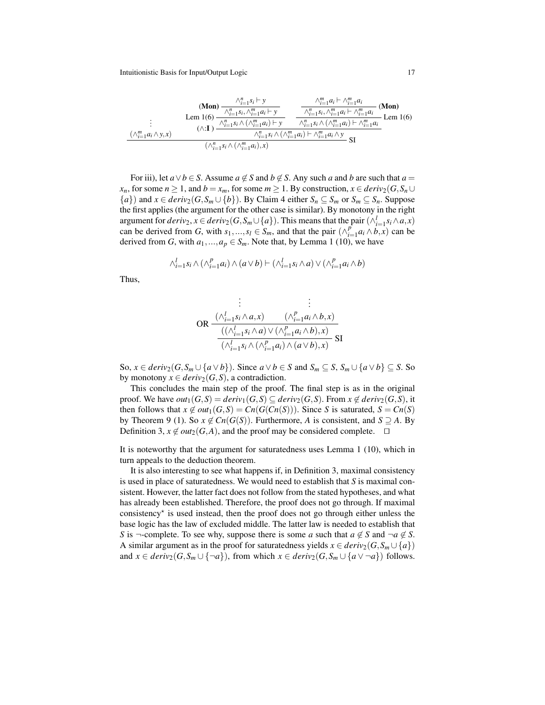$$
\begin{array}{c}\n\textbf{(Mon)} \frac{\wedge_{i=1}^{n} s_i \vdash y}{\wedge_{i=1}^{n} s_i, \wedge_{i=1}^{m} a_i \vdash y} \qquad \frac{\wedge_{i=1}^{m} a_i \vdash \wedge_{i=1}^{m} a_i}{\wedge_{i=1}^{n} s_i, \wedge_{i=1}^{m} a_i \vdash \wedge_{i=1}^{m} a_i} \textbf{(Mon)} \\
\vdots \\
\wedge_{i=1}^{m} a_i \wedge y, x) \qquad \qquad (\wedge : \mathbf{I}) \frac{\wedge_{i=1}^{n} s_i \wedge (\wedge_{i=1}^{m} a_i) \vdash y}{\wedge_{i=1}^{n} s_i \wedge (\wedge_{i=1}^{m} a_i) \vdash \wedge_{i=1}^{m} a_i} \mathbf{I} \textbf{em 1(6)} \\
\wedge_{i=1}^{n} s_i \wedge (\wedge_{i=1}^{m} a_i), x) \qquad \qquad \wedge_{i=1}^{n} s_i \wedge (\wedge_{i=1}^{m} a_i) \vdash \wedge_{i=1}^{m} a_i \wedge y} \textbf{SI}\n\end{array}
$$

For iii), let  $a \lor b \in S$ . Assume  $a \notin S$  and  $b \notin S$ . Any such a and b are such that  $a =$ *x*<sub>*n*</sub>, for some *n* ≥ 1, and *b* = *x*<sub>*m*</sub>, for some *m* ≥ 1. By construction, *x* ∈ *deriv*<sub>2</sub>(*G*, *S*<sub>*n*</sub> ∪ {*a*}) and *x* ∈ *deriv*<sub>2</sub>(*G*, *S<sub><i>m*</sub> ∪ {*b*}). By Claim 4 either *S<sub>n</sub>* ⊆ *S<sub>m</sub>* or *S<sub>m</sub>* ⊆ *S<sub>n</sub>*. Suppose the first applies (the argument for the other case is similar). By monotony in the right argument for  $deriv_2$ ,  $x \in deriv_2(G, S_m \cup \{a\})$ . This means that the pair  $(\wedge_{i=1}^l s_i \wedge a, x)$ can be derived from *G*, with  $s_1, ..., s_l \in S_m$ , and that the pair  $(\wedge_i^p)$  $\sum_{i=1}^{p} a_i \wedge b_i$  *x*) can be derived from *G*, with  $a_1, ..., a_p \in S_m$ . Note that, by Lemma 1 (10), we have

$$
\wedge_{i=1}^{l} s_i \wedge (\wedge_{i=1}^{p} a_i) \wedge (a \vee b) \vdash (\wedge_{i=1}^{l} s_i \wedge a) \vee (\wedge_{i=1}^{p} a_i \wedge b)
$$

Thus,

$$
\vdots \qquad \vdots \\ \text{OR } \frac{(\wedge_{i=1}^{l}s_{i}\wedge a,x) \qquad (\wedge_{i=1}^{p}a_{i}\wedge b,x)}{((\wedge_{i=1}^{l}s_{i}\wedge a)\vee(\wedge_{i=1}^{p}a_{i}\wedge b),x)} \\ \frac{((\wedge_{i=1}^{l}s_{i}\wedge(\wedge_{i=1}^{p}a_{i})\wedge(a\vee b),x)}{(\wedge_{i=1}^{l}s_{i}\wedge(\wedge_{i=1}^{p}a_{i})\wedge(a\vee b),x)} \text{ SI}
$$

So, *x* ∈ *deriv*<sub>2</sub>(*G*, *S<sub>m</sub>* ∪ {*a* ∨ *b*}). Since *a* ∨ *b* ∈ *S* and *S<sub>m</sub>* ⊆ *S*, *S<sub>m</sub>* ∪ {*a* ∨ *b*} ⊆ *S*. So by monotony  $x \in deriv_2(G, S)$ , a contradiction.

This concludes the main step of the proof. The final step is as in the original proof. We have  $out_1(G, S) = deriv_1(G, S) \subseteq deriv_2(G, S)$ . From  $x \notin deriv_2(G, S)$ , it then follows that  $x \notin out_1(G, S) = Cn(G(Cn(S)))$ . Since *S* is saturated,  $S = Cn(S)$ by Theorem 9 (1). So  $x \notin Cn(G(S))$ . Furthermore, *A* is consistent, and  $S \supseteq A$ . By Definition 3,  $x \notin out_2(G,A)$ , and the proof may be considered complete.  $\square$ 

It is noteworthy that the argument for saturatedness uses Lemma 1 (10), which in turn appeals to the deduction theorem.

It is also interesting to see what happens if, in Definition 3, maximal consistency is used in place of saturatedness. We would need to establish that *S* is maximal consistent. However, the latter fact does not follow from the stated hypotheses, and what has already been established. Therefore, the proof does not go through. If maximal consistency<sup>\*</sup> is used instead, then the proof does not go through either unless the base logic has the law of excluded middle. The latter law is needed to establish that *S* is  $\neg$ -complete. To see why, suppose there is some *a* such that  $a \notin S$  and  $\neg a \notin S$ . A similar argument as in the proof for saturatedness yields  $x \in deriv_2(G, S_m \cup \{a\})$ and  $x \in \text{deriv}_2(G, S_m \cup \{\neg a\})$ , from which  $x \in \text{deriv}_2(G, S_m \cup \{a \lor \neg a\})$  follows.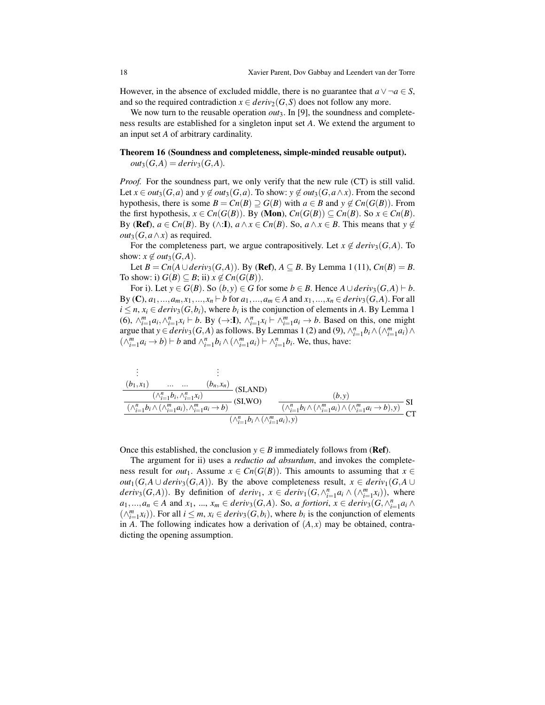However, in the absence of excluded middle, there is no guarantee that  $a \lor \neg a \in S$ , and so the required contradiction  $x \in deriv_2(G, S)$  does not follow any more.

We now turn to the reusable operation  $ou_3$ . In [9], the soundness and complete-*Ne* now turn to the reusable operation *out*<sub>3</sub>. In [9], the soundness and completeness results are established for a singleton input set *A*. We extend the argument to an input set  $A$  of arbitrary cardinality.

#### Theorem 16 (Soundness and completeness, simple-minded reusable output). **Theorem 16 (Soundness and con**

 $out_3(G,A) = deriv_3(G,A)$ .

*Proof.* For the soundness part, we only verify that the new rule (CT) is still valid. Let  $x \in out_3(G, a)$  and  $y \notin out_3(G, a)$ . To show:  $y \notin out_3(G, a \wedge x)$ . From the second by hypothesis, there is some  $B = Cn(B) \supseteq G(B)$  with  $a \in B$  and  $y \notin Cn(G(B))$ . From the first hypothesis,  $x \in Cn(G(B))$ . By (Mon),  $Cn(G(B)) \subseteq Cn(B)$ . So  $x \in Cn(B)$ . By (Ref),  $a \in Cn(B)$ . By ( $\wedge$ :I),  $a \wedge x \in Cn(B)$ . So,  $a \wedge x \in B$ . This means that  $y \notin C$  $out_3(G, a \wedge x)$  as required. he first hypothesis,  $x \in \text{C}_n(G(B))$ . By (MOH),  $\text{C}_n(G(B)) \subseteq \text{C}_n(B)$ . So  $x \in$ <br>By (**B** and *G* and *G*(*B*). By (A,**F**), so  $\alpha \in G_n(B)$ . So and *y*  $\alpha \in B$ . This masses

For the completeness part, we argue contrapositively. Let  $x \notin deriv_3(G,A)$ . To show:  $x \notin out_3(G,A)$ .

Let  $B = Cn(A \cup deriv_3(G,A))$ . By (Ref),  $A \subseteq B$ . By Lemma 1(11),  $Cn(B) = B$ . To show: i)  $G(B) \subseteq B$ ; ii)  $x \notin Cn(G(B))$ .

For i). Let  $y \in G(B)$ . So  $(b, y) \in G$  for some  $b \in B$ . Hence  $A \cup deriv_3(G,A) \vdash b$ . By (C),  $a_1,...,a_m, x_1,...,x_n \vdash b$  for  $a_1,...,a_m \in A$  and  $x_1,...,x_n \in deriv_3(G,A)$ . For all  $B_y(C, a_1, ..., a_m, \lambda_1, ..., \lambda_n)$  b for  $a_1, ..., a_m \in A$  and  $\lambda_1, ..., \lambda_n \in aerv_3(C, A)$ . For an  $i \le n$ ,  $x_i \in deriv_3(G, b_i)$ , where  $b_i$  is the conjunction of elements in A. By Lemma 1 (6),  $\wedge_{i=1}^{m} a_i, \wedge_{i=1}^{n} x_i \vdash b$ . By  $(\rightarrow : \mathbf{I})$ ,  $\wedge_{i=1}^{n} x_i \vdash \wedge_{i=1}^{m} a_i \rightarrow b$ . Based on this, one might argue that  $y \in$  *deriv*<sub>3</sub>(*G*,*A*) as follows. By Lemmas 1 (2) and (9),  $\wedge_{i=1}^{n} b_i \wedge (\wedge_{i=1}^{m} a_i) \wedge$  $(\wedge_{i=1}^{m} a_i \to b) \vdash b$  and  $\wedge_{i=1}^{n} b_i \wedge (\wedge_{i=1}^{m} a_i) \vdash \wedge_{i=1}^{n} b_i$ . We, thus, have:  $\leq n$ ,  $x_i \in \text{aerv}_3(G, b_i)$ , where  $b_i$  is the conjunction of elements in *A*. By Lemma 1. By Lemma 1. A. By Lemma 1. By Lemma 1. By Lemma 1. A. By Lemma 1. A. By Lemma 1. A. By Lemma 1. A. By Lemma 1. A. By Lemma 1. A. By

$$
\begin{array}{c}\n\vdots & \vdots \\
\underbrace{(b_1, x_1) \qquad \ldots \qquad \ldots \qquad (b_n, x_n)}_{\text{(N}_{i=1}^n b_i, \land_{i=1}^n x_i)} (SI, AND) \\
\underbrace{(N_{i=1}^n b_i \land (\land_{i=1}^m a_i), \land_{i=1}^m a_i \to b)}_{\text{(N}_{i=1}^n b_i \land (\land_{i=1}^m a_i), y)} (SI, WD) \qquad \qquad \text{(N}_{i=1}^n b_i \land (\land_{i=1}^m a_i) \land (\land_{i=1}^m a_i \to b), y)} \n\text{ST} \\
\underbrace{(N_{i=1}^n b_i \land (\land_{i=1}^m a_i), y)}_{\text{(N}_{i=1}^n b_i \land (\land_{i=1}^m a_i), y)} \n\end{array}
$$

Once this established, the conclusion  $y \in B$  immediately follows from (**Ref**).

The argument for ii) uses a *reductio ad absurdum*, and invokes the completeness result for *out*<sub>1</sub>. Assume  $x \in Cn(G(B))$ . This amounts to assuming that  $x \in$ *out*<sub>1</sub>(*G*,*A*∪ *deriv*<sub>3</sub>(*G*,*A*)). By the above completeness result, *x* ∈ *deriv*<sub>1</sub>(*G*,*A*∪ *deriv*<sub>3</sub>(*G*,*A*)). By definition of *deriv*<sub>1</sub>,  $x \in$  *deriv*<sub>1</sub>(*G*,  $\wedge_{i=1}^{n} a_i \wedge (\wedge_{i=1}^{m} x_i)$ ), where  $a_1, ..., a_n \in A$  and  $x_1, ..., x_m \in deriv_3(G, A)$ . So, *a fortiori*,  $x \in deriv_3(G, \wedge_{i=1}^n a_i \wedge a_i)$  $(\land_{i=1}^m x_i)$ ). For all *i* ≤ *m*, *x<sub>i</sub>* ∈ *deriv*<sub>3</sub>(*G*,*b<sub>i</sub>*), where *b<sub>i</sub>* is the conjunction of elements in *A*. The following indicates how a derivation of  $(A, x)$  may be obtained, contradicting the opening assumption.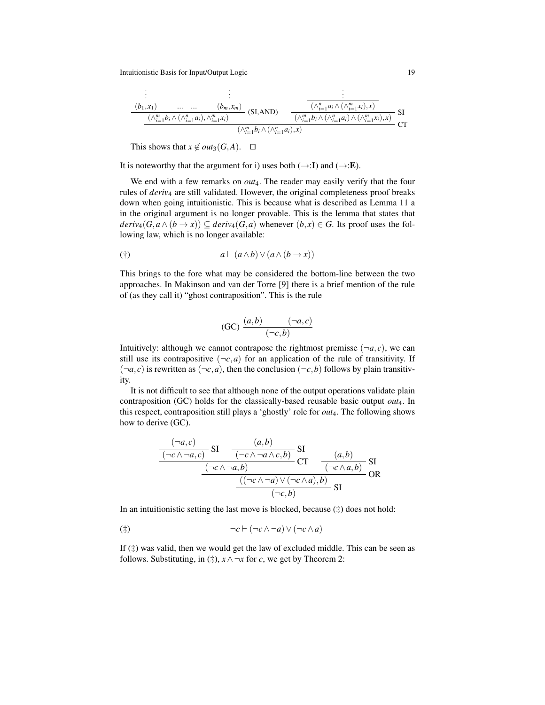$$
\begin{array}{cccc}\n\vdots & \vdots & \vdots \\
(\underline{b_1, x_1}) & \dots & \dots & (\underline{b_m, x_m}) & (SI, AND) & \overbrace{(\wedge_{i=1}^m a_i \wedge (\wedge_{i=1}^m x_i), x)}^{\overbrace{(\wedge_{i=1}^m a_i \wedge (\wedge_{i=1}^m x_i), x)}^{\overbrace{(\wedge_{i=1}^m b_i \wedge (\wedge_{i=1}^m a_i) \wedge (\wedge_{i=1}^m x_i), x)}^{\overbrace{(\wedge_{i=1}^m b_i \wedge (\wedge_{i=1}^n a_i) \wedge (\wedge_{i=1}^m a_i), x)}^{\overbrace{(\wedge_{i=1}^m b_i \wedge (\wedge_{i=1}^n a_i), x)}^{\overbrace{(\wedge_{i=1}^m b_i \wedge (\wedge_{i=1}^n a_i), x)}^{\overbrace{(\wedge_{i=1}^m b_i \wedge (\wedge_{i=1}^n a_i), x)}^{\overbrace{(\wedge_{i=1}^m b_i \wedge (\wedge_{i=1}^n a_i), x)}^{\overbrace{(\wedge_{i=1}^m b_i \wedge (\wedge_{i=1}^n a_i), x)}^{\overbrace{(\wedge_{i=1}^m b_i \wedge (\wedge_{i=1}^n a_i), x)}^{\overbrace{(\wedge_{i=1}^m b_i \wedge (\wedge_{i=1}^n a_i), x)}^{\overbrace{(\wedge_{i=1}^m b_i \wedge (\wedge_{i=1}^n a_i), x)}^{\overbrace{(\wedge_{i=1}^m b_i \wedge (\wedge_{i=1}^n a_i), x)}^{\overbrace{(\wedge_{i=1}^m b_i \wedge (\wedge_{i=1}^n a_i), x)}^{\overbrace{(\wedge_{i=1}^m b_i \wedge (\wedge_{i=1}^n a_i), x)}^{\overbrace{(\wedge_{i=1}^m b_i \wedge (\wedge_{i=1}^n a_i), x)}^{\overbrace{(\wedge_{i=1}^m b_i \wedge (\wedge_{i=1}^n a_i), x)}^{\overbrace{(\wedge_{i=1}^m b_i \wedge (\wedge_{i=1}^n a_i), x)}^{\overbrace{(\wedge_{i=1}^m b_i \wedge (\wedge_{i=1}^n a_i), x)}^{\overbrace{(\wedge_{i
$$

This shows that  $x \notin out_3(G,A)$ .  $\Box$ 

It is noteworthy that the argument for i) uses both  $(\rightarrow : I)$  and  $(\rightarrow : E)$ .

We end with a few remarks on *out*<sub>4</sub>. The reader may easily verify that the four rules of *deriv*<sup>4</sup> are still validated. However, the original completeness proof breaks down when going intuitionistic. This is because what is described as Lemma 11 a in the original argument is no longer provable. This is the lemma that states that  $deriv_4(G, a \wedge (b \rightarrow x)) \subseteq deriv_4(G, a)$  whenever  $(b, x) \in G$ . Its proof uses the following law, which is no longer available:

$$
(†)\qquad \qquad a\vdash (a\land b)\lor(a\land(b\to x))
$$

This brings to the fore what may be considered the bottom-line between the two approaches. In Makinson and van der Torre [9] there is a brief mention of the rule of (as they call it) "ghost contraposition". This is the rule

(GC) 
$$
\frac{(a,b) \quad (-a,c)}{(\neg c,b)}
$$

Intuitively: although we cannot contrapose the rightmost premisse  $(\neg a, c)$ , we can still use its contrapositive  $(\neg c, a)$  for an application of the rule of transitivity. If  $(\neg a, c)$  is rewritten as  $(\neg c, a)$ , then the conclusion  $(\neg c, b)$  follows by plain transitivity.

It is not difficult to see that although none of the output operations validate plain contraposition (GC) holds for the classically-based reusable basic output *out*4. In this respect, contraposition still plays a 'ghostly' role for *out*4. The following shows how to derive (GC).

$$
\frac{\frac{(\neg a, c)}{(\neg c \wedge \neg a, c)} \text{SI} \quad \frac{(a, b)}{(\neg c \wedge \neg a \wedge c, b)} \text{SI}}{\frac{(\neg c \wedge \neg a, b)}{(\neg c \wedge \neg a, b)} \text{CT} \quad \frac{(a, b)}{(\neg c \wedge a, b)} \text{SI}} \text{OR}
$$
\n
$$
\frac{((\neg c \wedge \neg a) \vee (\neg c \wedge a), b)}{(\neg c, b)} \text{SI}
$$

In an intuitionistic setting the last move is blocked, because (‡) does not hold:

$$
(\ddagger) \qquad \qquad \neg c \vdash (\neg c \land \neg a) \lor (\neg c \land a)
$$

If  $(\ddagger)$  was valid, then we would get the law of excluded middle. This can be seen as follows. Substituting, in ( $\ddagger$ ),  $x \wedge \neg x$  for *c*, we get by Theorem 2: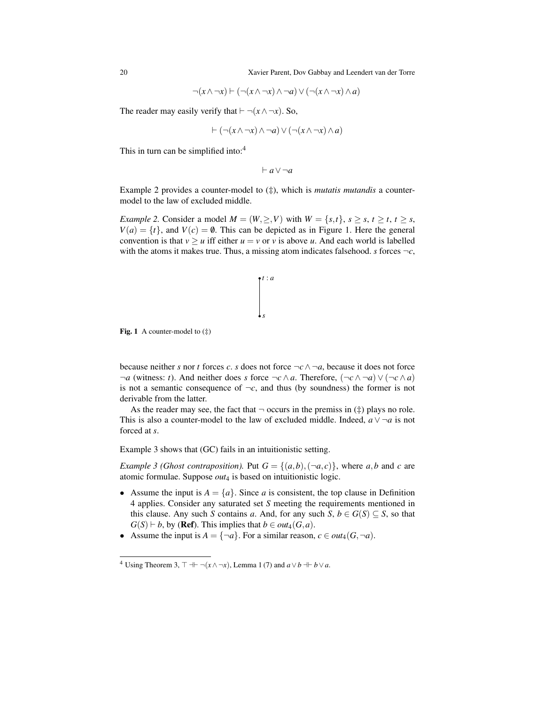$$
\neg(x \wedge \neg x) \vdash (\neg(x \wedge \neg x) \wedge \neg a) \vee (\neg(x \wedge \neg x) \wedge a)
$$

The reader may easily verify that  $\vdash \neg(x \land \neg x)$ . So,

$$
\vdash (\neg(x \wedge \neg x) \wedge \neg a) \vee (\neg(x \wedge \neg x) \wedge a)
$$

This in turn can be simplified into:<sup>4</sup>

` *a*∨ ¬*a*

Example 2 provides a counter-model to (‡), which is *mutatis mutandis* a countermodel to the law of excluded middle.

*Example 2.* Consider a model  $M = (W, \geq, V)$  with  $W = \{s, t\}, s \geq s, t \geq t, t \geq s$ ,  $V(a) = \{t\}$ , and  $V(c) = \emptyset$ . This can be depicted as in Figure 1. Here the general convention is that  $v \ge u$  iff either  $u = v$  or  $v$  is above  $u$ . And each world is labelled with the atoms it makes true. Thus, a missing atom indicates falsehood. *s* forces  $\neg c$ ,

$$
\begin{bmatrix}\n t : a \\
 \vdots \\
 s\n\end{bmatrix}
$$



because neither *s* nor *t* forces *c*. *s* does not force  $\neg c \land \neg a$ , because it does not force  $\neg a$  (witness: *t*). And neither does *s* force  $\neg c \land a$ . Therefore,  $(\neg c \land \neg a) \lor (\neg c \land a)$ is not a semantic consequence of  $\neg c$ , and thus (by soundness) the former is not derivable from the latter.

As the reader may see, the fact that  $\neg$  occurs in the premiss in  $(\ddagger)$  plays no role. This is also a counter-model to the law of excluded middle. Indeed,  $a \vee \neg a$  is not forced at *s*.

Example 3 shows that (GC) fails in an intuitionistic setting.

*Example 3 (Ghost contraposition).* Put  $G = \{(a,b), (\neg a, c)\}\$ , where  $a, b$  and  $c$  are atomic formulae. Suppose *out*<sup>4</sup> is based on intuitionistic logic.

- Assume the input is  $A = \{a\}$ . Since *a* is consistent, the top clause in Definition 4 applies. Consider any saturated set *S* meeting the requirements mentioned in this clause. Any such *S* contains *a*. And, for any such *S*,  $b \in G(S) \subseteq S$ , so that  $G(S) \vdash b$ , by (**Ref**). This implies that  $b \in out_4(G, a)$ .
- Assume the input is  $A = \{\neg a\}$ . For a similar reason,  $c \in out_4(G, \neg a)$ .

<sup>&</sup>lt;sup>4</sup> Using Theorem 3,  $\top \dashv \vdash \neg(x \land \neg x)$ , Lemma 1 (7) and  $a \lor b \dashv \vdash b \lor a$ .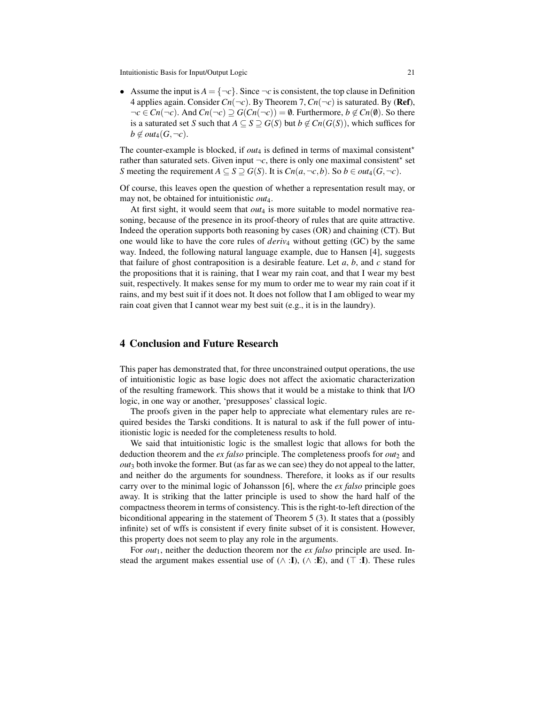• Assume the input is  $A = \{\neg c\}$ . Since  $\neg c$  is consistent, the top clause in Definition 4 applies again. Consider  $Cn(\neg c)$ . By Theorem 7,  $Cn(\neg c)$  is saturated. By (Ref),  $\neg c \in Cn(\neg c)$ . And  $Cn(\neg c) \supseteq G(Cn(\neg c)) = \emptyset$ . Furthermore,  $b \notin Cn(\emptyset)$ . So there is a saturated set *S* such that  $A \subseteq S \supseteq G(S)$  but  $b \notin Cn(G(S))$ , which suffices for  $b \notin out_4(G, \neg c)$ .

The counter-example is blocked, if  $out_4$  is defined in terms of maximal consistent<sup>\*</sup> rather than saturated sets. Given input  $\neg c$ , there is only one maximal consistent<sup>\*</sup> set *S* meeting the requirement *A* ⊆ *S* ⊇ *G*(*S*). It is *Cn*(*a*, ¬*c*,*b*). So *b* ∈ *out*<sub>4</sub>(*G*, ¬*c*).

Of course, this leaves open the question of whether a representation result may, or may not, be obtained for intuitionistic *out*4.

At first sight, it would seem that  $out_4$  is more suitable to model normative reasoning, because of the presence in its proof-theory of rules that are quite attractive. Indeed the operation supports both reasoning by cases (OR) and chaining (CT). But one would like to have the core rules of *deriv*<sup>4</sup> without getting (GC) by the same way. Indeed, the following natural language example, due to Hansen [4], suggests that failure of ghost contraposition is a desirable feature. Let *a*, *b*, and *c* stand for the propositions that it is raining, that I wear my rain coat, and that I wear my best suit, respectively. It makes sense for my mum to order me to wear my rain coat if it rains, and my best suit if it does not. It does not follow that I am obliged to wear my rain coat given that I cannot wear my best suit (e.g., it is in the laundry).

## 4 Conclusion and Future Research

This paper has demonstrated that, for three unconstrained output operations, the use of intuitionistic logic as base logic does not affect the axiomatic characterization of the resulting framework. This shows that it would be a mistake to think that I/O logic, in one way or another, 'presupposes' classical logic.

The proofs given in the paper help to appreciate what elementary rules are required besides the Tarski conditions. It is natural to ask if the full power of intuitionistic logic is needed for the completeness results to hold.

We said that intuitionistic logic is the smallest logic that allows for both the deduction theorem and the *ex falso* principle. The completeness proofs for *out*<sub>2</sub> and *out*<sup>3</sup> both invoke the former. But (as far as we can see) they do not appeal to the latter, and neither do the arguments for soundness. Therefore, it looks as if our results carry over to the minimal logic of Johansson [6], where the *ex falso* principle goes away. It is striking that the latter principle is used to show the hard half of the compactness theorem in terms of consistency. This is the right-to-left direction of the biconditional appearing in the statement of Theorem 5 (3). It states that a (possibly infinite) set of wffs is consistent if every finite subset of it is consistent. However, this property does not seem to play any role in the arguments.

For *out*<sub>1</sub>, neither the deduction theorem nor the *ex falso* principle are used. Instead the argument makes essential use of ( $\land$  :I), ( $\land$  :E), and ( $\top$  :I). These rules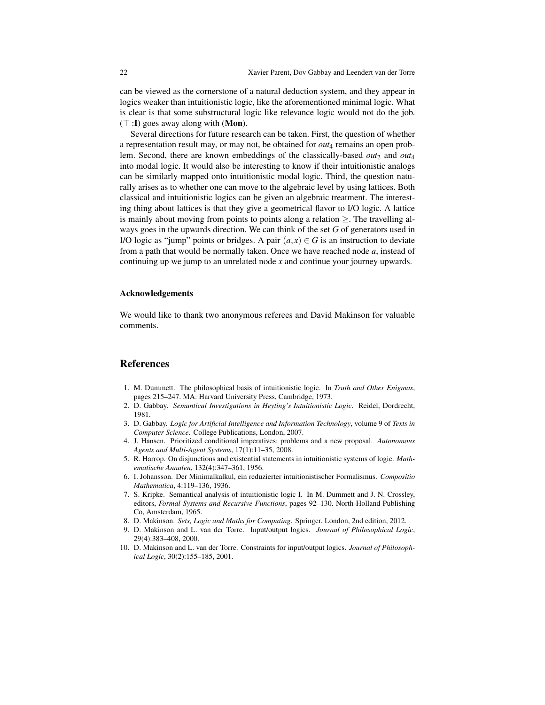can be viewed as the cornerstone of a natural deduction system, and they appear in logics weaker than intuitionistic logic, like the aforementioned minimal logic. What is clear is that some substructural logic like relevance logic would not do the job.  $(T : I)$  goes away along with (Mon).

Several directions for future research can be taken. First, the question of whether a representation result may, or may not, be obtained for *out*<sup>4</sup> remains an open problem. Second, there are known embeddings of the classically-based *out*<sub>2</sub> and *out*<sub>4</sub> into modal logic. It would also be interesting to know if their intuitionistic analogs can be similarly mapped onto intuitionistic modal logic. Third, the question naturally arises as to whether one can move to the algebraic level by using lattices. Both classical and intuitionistic logics can be given an algebraic treatment. The interesting thing about lattices is that they give a geometrical flavor to I/O logic. A lattice is mainly about moving from points to points along a relation  $\geq$ . The travelling always goes in the upwards direction. We can think of the set *G* of generators used in I/O logic as "jump" points or bridges. A pair  $(a, x) \in G$  is an instruction to deviate from a path that would be normally taken. Once we have reached node *a*, instead of continuing up we jump to an unrelated node *x* and continue your journey upwards.

#### Acknowledgements

We would like to thank two anonymous referees and David Makinson for valuable comments.

### **References**

- 1. M. Dummett. The philosophical basis of intuitionistic logic. In *Truth and Other Enigmas*, pages 215–247. MA: Harvard University Press, Cambridge, 1973.
- 2. D. Gabbay. *Semantical Investigations in Heyting's Intuitionistic Logic*. Reidel, Dordrecht, 1981.
- 3. D. Gabbay. *Logic for Artificial Intelligence and Information Technology*, volume 9 of *Texts in Computer Science*. College Publications, London, 2007.
- 4. J. Hansen. Prioritized conditional imperatives: problems and a new proposal. *Autonomous Agents and Multi-Agent Systems*, 17(1):11–35, 2008.
- 5. R. Harrop. On disjunctions and existential statements in intuitionistic systems of logic. *Mathematische Annalen*, 132(4):347–361, 1956.
- 6. I. Johansson. Der Minimalkalkul, ein reduzierter intuitionistischer Formalismus. *Compositio Mathematica*, 4:119–136, 1936.
- 7. S. Kripke. Semantical analysis of intuitionistic logic I. In M. Dummett and J. N. Crossley, editors, *Formal Systems and Recursive Functions*, pages 92–130. North-Holland Publishing Co, Amsterdam, 1965.
- 8. D. Makinson. *Sets, Logic and Maths for Computing*. Springer, London, 2nd edition, 2012.
- 9. D. Makinson and L. van der Torre. Input/output logics. *Journal of Philosophical Logic*, 29(4):383–408, 2000.
- 10. D. Makinson and L. van der Torre. Constraints for input/output logics. *Journal of Philosophical Logic*, 30(2):155–185, 2001.